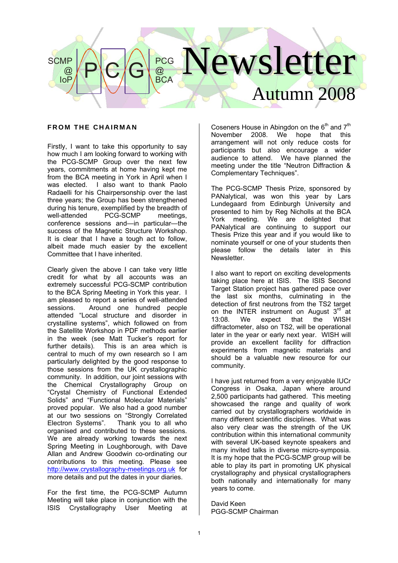

#### **FROM THE CHAIRMAN**

Firstly, I want to take this opportunity to say how much I am looking forward to working with the PCG-SCMP Group over the next few years, commitments at home having kept me from the BCA meeting in York in April when I was elected. I also want to thank Paolo Radaelli for his Chairpersonship over the last three years; the Group has been strengthened during his tenure, exemplified by the breadth of well-attended PCG-SCMP meetings, conference sessions and—in particular—the success of the Magnetic Structure Workshop. It is clear that I have a tough act to follow, albeit made much easier by the excellent Committee that I have inherited.

Clearly given the above I can take very little credit for what by all accounts was an extremely successful PCG-SCMP contribution to the BCA Spring Meeting in York this year. I am pleased to report a series of well-attended sessions. Around one hundred people attended "Local structure and disorder in crystalline systems", which followed on from the Satellite Workshop in PDF methods earlier in the week (see Matt Tucker's report for further details). This is an area which is central to much of my own research so I am particularly delighted by the good response to those sessions from the UK crystallographic community. In addition, our joint sessions with the Chemical Crystallography Group on "Crystal Chemistry of Functional Extended Solids" and "Functional Molecular Materials" proved popular. We also had a good number at our two sessions on "Strongly Correlated Electron Systems". Thank you to all who organised and contributed to these sessions. We are already working towards the next Spring Meeting in Loughborough, with Dave Allan and Andrew Goodwin co-ordinating our contributions to this meeting. Please see http://www.crystallography-meetings.org.uk for more details and put the dates in your diaries.

For the first time, the PCG-SCMP Autumn Meeting will take place in conjunction with the ISIS Crystallography User Meeting at

Coseners House in Abingdon on the  $6<sup>th</sup>$  and  $7<sup>th</sup>$ November 2008. We hope that this arrangement will not only reduce costs for participants but also encourage a wider audience to attend. We have planned the meeting under the title "Neutron Diffraction & Complementary Techniques".

The PCG-SCMP Thesis Prize, sponsored by PANalytical, was won this year by Lars Lundegaard from Edinburgh University and presented to him by Reg Nicholls at the BCA York meeting. We are delighted that PANalytical are continuing to support our Thesis Prize this year and if you would like to nominate yourself or one of your students then please follow the details later in this Newsletter.

I also want to report on exciting developments taking place here at ISIS. The ISIS Second Target Station project has gathered pace over the last six months, culminating in the detection of first neutrons from the TS2 target on the INTER instrument on August  $3<sup>rd</sup>$  at 13:08. We expect that the WISH diffractometer, also on TS2, will be operational later in the year or early next year. WISH will provide an excellent facility for diffraction experiments from magnetic materials and should be a valuable new resource for our community.

I have just returned from a very enjoyable IUCr Congress in Osaka, Japan where around 2,500 participants had gathered. This meeting showcased the range and quality of work carried out by crystallographers worldwide in many different scientific disciplines. What was also very clear was the strength of the UK contribution within this international community with several UK-based keynote speakers and many invited talks in diverse micro-symposia. It is my hope that the PCG-SCMP group will be able to play its part in promoting UK physical crystallography and physical crystallographers both nationally and internationally for many years to come.

David Keen PGG-SCMP Chairman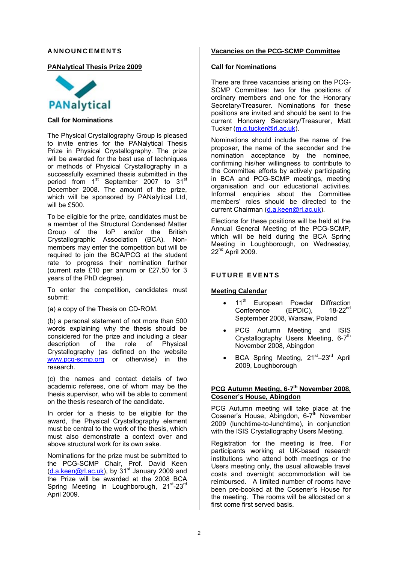#### **ANNOUNCEMENTS**

#### **PANalytical Thesis Prize 2009**



#### **Call for Nominations**

The Physical Crystallography Group is pleased to invite entries for the PANalytical Thesis Prize in Physical Crystallography. The prize will be awarded for the best use of techniques or methods of Physical Crystallography in a successfully examined thesis submitted in the period from 1<sup>st</sup> September 2007 to 31<sup>st</sup> December 2008. The amount of the prize, which will be sponsored by PANalytical Ltd, will be £500.

To be eligible for the prize, candidates must be a member of the Structural Condensed Matter Group of the IoP and/or the British Crystallographic Association (BCA). Nonmembers may enter the competition but will be required to join the BCA/PCG at the student rate to progress their nomination further (current rate £10 per annum or £27.50 for 3 years of the PhD degree).

To enter the competition, candidates must submit:

(a) a copy of the Thesis on CD-ROM.

(b) a personal statement of not more than 500 words explaining why the thesis should be considered for the prize and including a clear description of the role of Physical Crystallography (as defined on the website www.pcg-scmp.org or otherwise) in the research.

(c) the names and contact details of two academic referees, one of whom may be the thesis supervisor, who will be able to comment on the thesis research of the candidate.

In order for a thesis to be eligible for the award, the Physical Crystallography element must be central to the work of the thesis, which must also demonstrate a context over and above structural work for its own sake.

Nominations for the prize must be submitted to the PCG-SCMP Chair, Prof. David Keen  $(d.a.keen@rl.ac.uk)$ , by  $31<sup>st</sup>$  January 2009 and the Prize will be awarded at the 2008 BCA Spring Meeting in Loughborough. 21<sup>st</sup>-23<sup>rd</sup> April 2009.

#### **Vacancies on the PCG-SCMP Committee**

#### **Call for Nominations**

There are three vacancies arising on the PCG-SCMP Committee: two for the positions of ordinary members and one for the Honorary Secretary/Treasurer. Nominations for these positions are invited and should be sent to the current Honorary Secretary/Treasurer, Matt Tucker (m.g.tucker@rl.ac.uk).

Nominations should include the name of the proposer, the name of the seconder and the nomination acceptance by the nominee, confirming his/her willingness to contribute to the Committee efforts by actively participating in BCA and PCG-SCMP meetings, meeting organisation and our educational activities. Informal enquiries about the Committee members' roles should be directed to the current Chairman (d.a.keen@rl.ac.uk).

Elections for these positions will be held at the Annual General Meeting of the PCG-SCMP, which will be held during the BCA Spring Meeting in Loughborough, on Wednesday, 22<sup>nd</sup> April 2009.

#### **FUTURE EVENTS**

#### **Meeting Calendar**

- 11<sup>th</sup> European Powder Diffraction<br>Conference (EPDIC). 18-22<sup>nd</sup> Conference September 2008, Warsaw, Poland
- PCG Autumn Meeting and ISIS Crystallography Users Meeting, 6-7<sup>th</sup> November 2008, Abingdon
- BCA Spring Meeting, 21<sup>st</sup>–23<sup>rd</sup> April 2009, Loughborough

#### **PCG Autumn Meeting, 6-7<sup>th</sup> November 2008. Cosener's House, Abingdon**

PCG Autumn meeting will take place at the Cosener's House, Abingdon, 6-7<sup>th</sup> November 2009 (lunchtime-to-lunchtime), in conjunction with the ISIS Crystallography Users Meeting.

Registration for the meeting is free. For participants working at UK-based research institutions who attend both meetings or the Users meeting only, the usual allowable travel costs and overnight accommodation will be reimbursed. A limited number of rooms have been pre-booked at the Cosener's House for the meeting. The rooms will be allocated on a first come first served basis.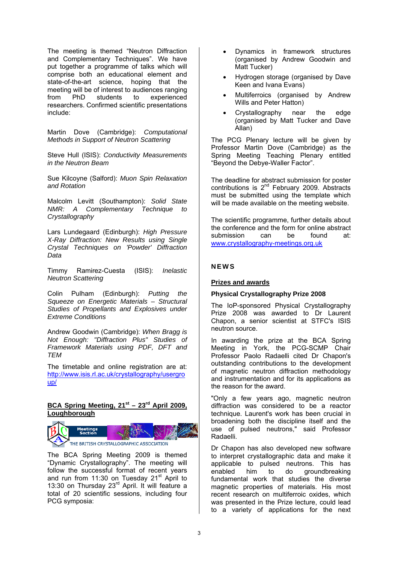The meeting is themed "Neutron Diffraction and Complementary Techniques". We have put together a programme of talks which will comprise both an educational element and state-of-the-art science, hoping that the meeting will be of interest to audiences ranging from PhD students to experienced researchers. Confirmed scientific presentations include:

Martin Dove (Cambridge): *Computational Methods in Support of Neutron Scattering*

Steve Hull (ISIS): *Conductivity Measurements in the Neutron Beam*

Sue Kilcoyne (Salford): *Muon Spin Relaxation and Rotation*

Malcolm Levitt (Southampton): *Solid State NMR: A Complementary Technique to Crystallography*

Lars Lundegaard (Edinburgh): *High Pressure X-Ray Diffraction: New Results using Single Crystal Techniques on 'Powder' Diffraction Data*

Timmy Ramirez-Cuesta (ISIS): *Inelastic Neutron Scattering*

Colin Pulham (Edinburgh): *Putting the Squeeze on Energetic Materials – Structural Studies of Propellants and Explosives under Extreme Conditions* 

Andrew Goodwin (Cambridge): *When Bragg is Not Enough: "Diffraction Plus" Studies of Framework Materials using PDF, DFT and TEM* 

The timetable and online registration are at: http://www.isis.rl.ac.uk/crystallography/usergro up/

# BCA Spring Meeting, 21<sup>st</sup> – 23<sup>rd</sup> April 2009. **Loughborough**



The BCA Spring Meeting 2009 is themed "Dynamic Crystallography". The meeting will follow the successful format of recent years and run from 11:30 on Tuesday  $21<sup>st</sup>$  April to 13:30 on Thursday 23<sup>rd</sup> April. It will feature a total of 20 scientific sessions, including four PCG symposia:

- Dynamics in framework structures (organised by Andrew Goodwin and Matt Tucker)
- Hydrogen storage (organised by Dave Keen and Ivana Evans)
- Multiferroics (organised by Andrew Wills and Peter Hatton)
- Crystallography near the edge (organised by Matt Tucker and Dave Allan)

The PCG Plenary lecture will be given by Professor Martin Dove (Cambridge) as the Spring Meeting Teaching Plenary entitled "Beyond the Debye-Waller Factor".

The deadline for abstract submission for poster contributions is 2nd February 2009. Abstracts must be submitted using the template which will be made available on the meeting website.

The scientific programme, further details about the conference and the form for online abstract submission can be found at: www.crystallography-meetings.org.uk

# **NEWS**

#### **Prizes and awards**

#### **Physical Crystallography Prize 2008**

The IoP-sponsored Physical Crystallography Prize 2008 was awarded to Dr Laurent Chapon, a senior scientist at STFC's ISIS neutron source.

In awarding the prize at the BCA Spring Meeting in York, the PCG-SCMP Chair Professor Paolo Radaelli cited Dr Chapon's outstanding contributions to the development of magnetic neutron diffraction methodology and instrumentation and for its applications as the reason for the award.

"Only a few years ago, magnetic neutron diffraction was considered to be a reactor technique. Laurent's work has been crucial in broadening both the discipline itself and the use of pulsed neutrons," said Professor Radaelli.

Dr Chapon has also developed new software to interpret crystallographic data and make it applicable to pulsed neutrons. This has enabled him to do groundbreaking fundamental work that studies the diverse magnetic properties of materials. His most recent research on multiferroic oxides, which was presented in the Prize lecture, could lead to a variety of applications for the next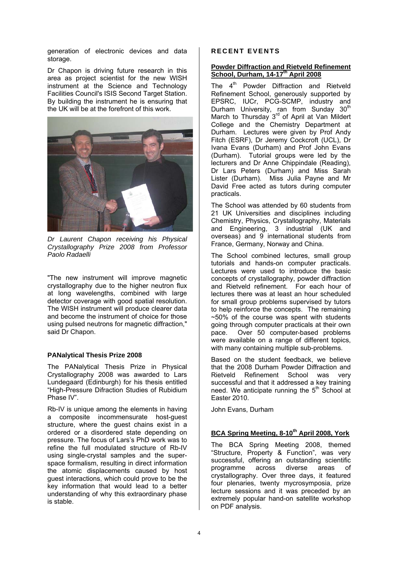generation of electronic devices and data storage.

Dr Chapon is driving future research in this area as project scientist for the new WISH instrument at the Science and Technology Facilities Council's ISIS Second Target Station. By building the instrument he is ensuring that the UK will be at the forefront of this work.



*Dr Laurent Chapon receiving his Physical Crystallography Prize 2008 from Professor Paolo Radaelli* 

"The new instrument will improve magnetic crystallography due to the higher neutron flux at long wavelengths, combined with large detector coverage with good spatial resolution. The WISH instrument will produce clearer data and become the instrument of choice for those using pulsed neutrons for magnetic diffraction," said Dr Chapon.

#### **PANalytical Thesis Prize 2008**

The PANalytical Thesis Prize in Physical Crystallography 2008 was awarded to Lars Lundegaard (Edinburgh) for his thesis entitled "High-Pressure Difraction Studies of Rubidium Phase IV".

Rb-IV is unique among the elements in having a composite incommensurate host-guest structure, where the guest chains exist in a ordered or a disordered state depending on pressure. The focus of Lars's PhD work was to refine the full modulated structure of Rb-IV using single-crystal samples and the superspace formalism, resulting in direct information the atomic displacements caused by host guest interactions, which could prove to be the key information that would lead to a better understanding of why this extraordinary phase is stable.

#### **RECENT EVENTS**

#### **Powder Diffraction and Rietveld Refinement School, Durham, 14-17th April 2008**

The  $4<sup>th</sup>$  Powder Diffraction and Rietveld Refinement School, generously supported by EPSRC, IUCr, PCG-SCMP, industry and Durham University, ran from Sunday 30<sup>th</sup> March to Thursday 3<sup>rd</sup> of April at Van Mildert College and the Chemistry Department at Durham. Lectures were given by Prof Andy Fitch (ESRF), Dr Jeremy Cockcroft (UCL), Dr Ivana Evans (Durham) and Prof John Evans (Durham). Tutorial groups were led by the lecturers and Dr Anne Chippindale (Reading), Dr Lars Peters (Durham) and Miss Sarah Lister (Durham). Miss Julia Payne and Mr David Free acted as tutors during computer practicals.

The School was attended by 60 students from 21 UK Universities and disciplines including Chemistry, Physics, Crystallography, Materials and Engineering, 3 industrial (UK and overseas) and 9 international students from France, Germany, Norway and China.

The School combined lectures, small group tutorials and hands-on computer practicals. Lectures were used to introduce the basic concepts of crystallography, powder diffraction and Rietveld refinement. For each hour of lectures there was at least an hour scheduled for small group problems supervised by tutors to help reinforce the concepts. The remaining  $~50\%$  of the course was spent with students going through computer practicals at their own pace. Over 50 computer-based problems were available on a range of different topics, with many containing multiple sub-problems.

Based on the student feedback, we believe that the 2008 Durham Powder Diffraction and Rietveld Refinement School was very successful and that it addressed a key training need. We anticipate running the  $5<sup>th</sup>$  School at Easter 2010.

John Evans, Durham

# **BCA Spring Meeting, 8-10th April 2008, York**

The BCA Spring Meeting 2008, themed "Structure, Property & Function", was very successful, offering an outstanding scientific programme across diverse areas of crystallography. Over three days, it featured four plenaries, twenty mycrosymposia, prize lecture sessions and it was preceded by an extremely popular hand-on satellite workshop on PDF analysis.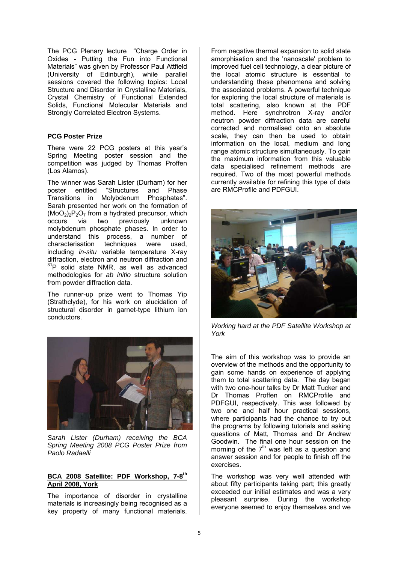The PCG Plenary lecture "Charge Order in Oxides - Putting the Fun into Functional Materials" was given by Professor Paul Attfield (University of Edinburgh), while parallel sessions covered the following topics: Local Structure and Disorder in Crystalline Materials, Crystal Chemistry of Functional Extended Solids, Functional Molecular Materials and Strongly Correlated Electron Systems.

#### **PCG Poster Prize**

There were 22 PCG posters at this year's Spring Meeting poster session and the competition was judged by Thomas Proffen (Los Alamos).

The winner was Sarah Lister (Durham) for her poster entitled "Structures and Phase Transitions in Molybdenum Phosphates". Sarah presented her work on the formation of  $(MoO<sub>2</sub>)<sub>2</sub>P<sub>2</sub>O<sub>7</sub>$  from a hydrated precursor, which occurs via two previously unknown molybdenum phosphate phases. In order to understand this process, a number of characterisation techniques were used, including *in-situ* variable temperature X-ray diffraction, electron and neutron diffraction and  $31P$  solid state NMR, as well as advanced methodologies for *ab initio* structure solution from powder diffraction data.

The runner-up prize went to Thomas Yip (Strathclyde), for his work on elucidation of structural disorder in garnet-type lithium ion conductors.



*Sarah Lister (Durham) receiving the BCA Spring Meeting 2008 PCG Poster Prize from Paolo Radaelli* 

#### **BCA 2008 Satellite: PDF Workshop, 7-8th April 2008, York**

The importance of disorder in crystalline materials is increasingly being recognised as a key property of many functional materials. From negative thermal expansion to solid state amorphisation and the 'nanoscale' problem to improved fuel cell technology, a clear picture of the local atomic structure is essential to understanding these phenomena and solving the associated problems. A powerful technique for exploring the local structure of materials is total scattering, also known at the PDF method. Here synchrotron X-ray and/or neutron powder diffraction data are careful corrected and normalised onto an absolute scale, they can then be used to obtain information on the local, medium and long range atomic structure simultaneously. To gain the maximum information from this valuable data specialised refinement methods are required. Two of the most powerful methods currently available for refining this type of data are RMCProfile and PDFGUI.



*Working hard at the PDF Satellite Workshop at York* 

The aim of this workshop was to provide an overview of the methods and the opportunity to gain some hands on experience of applying them to total scattering data. The day began with two one-hour talks by Dr Matt Tucker and Dr Thomas Proffen on RMCProfile and PDFGUI, respectively. This was followed by two one and half hour practical sessions, where participants had the chance to try out the programs by following tutorials and asking questions of Matt, Thomas and Dr Andrew Goodwin. The final one hour session on the morning of the  $7<sup>th</sup>$  was left as a question and answer session and for people to finish off the exercises.

The workshop was very well attended with about fifty participants taking part; this greatly exceeded our initial estimates and was a very pleasant surprise. During the workshop everyone seemed to enjoy themselves and we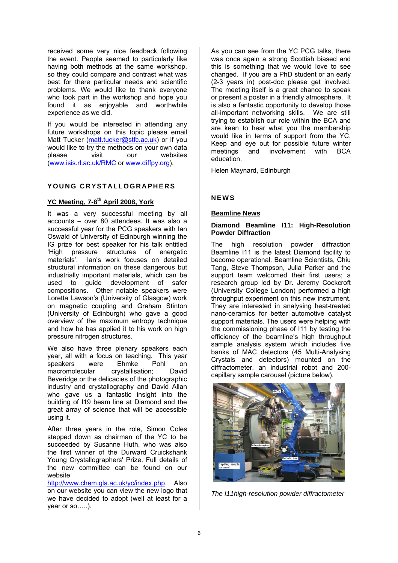received some very nice feedback following the event. People seemed to particularly like having both methods at the same workshop, so they could compare and contrast what was best for there particular needs and scientific problems. We would like to thank everyone who took part in the workshop and hope you found it as enjoyable and worthwhile experience as we did.

If you would be interested in attending any future workshops on this topic please email Matt Tucker (matt.tucker@stfc.ac.uk) or if you would like to try the methods on your own data please visit our websites (www.isis.rl.ac.uk/RMC or www.diffpy.org).

# **YOUNG CRYSTALLOGRAPHERS**

# **YC Meeting, 7-8th April 2008, York**

It was a very successful meeting by all accounts – over 80 attendees. It was also a successful year for the PCG speakers with Ian Oswald of University of Edinburgh winning the IG prize for best speaker for his talk entitled 'High pressure structures of energetic materials'. Ian's work focuses on detailed structural information on these dangerous but industrially important materials, which can be used to guide development of safer compositions. Other notable speakers were Loretta Lawson's (University of Glasgow) work on magnetic coupling and Graham Stinton (University of Edinburgh) who gave a good overview of the maximum entropy technique and how he has applied it to his work on high pressure nitrogen structures.

We also have three plenary speakers each year, all with a focus on teaching. This year<br>speakers were Ehmke Pohl on speakers were Ehmke Pohl on macromolecular crystallisation: David Beveridge or the delicacies of the photographic industry and crystallography and David Allan who gave us a fantastic insight into the building of I19 beam line at Diamond and the great array of science that will be accessible using it.

After three years in the role, Simon Coles stepped down as chairman of the YC to be succeeded by Susanne Huth, who was also the first winner of the Durward Cruickshank Young Crystallographers' Prize. Full details of the new committee can be found on our website

http://www.chem.gla.ac.uk/yc/index.php. Also on our website you can view the new logo that we have decided to adopt (well at least for a year or so…..).

As you can see from the YC PCG talks, there was once again a strong Scottish biased and this is something that we would love to see changed. If you are a PhD student or an early (2-3 years in) post-doc please get involved. The meeting itself is a great chance to speak or present a poster in a friendly atmosphere. It is also a fantastic opportunity to develop those all-important networking skills. We are still trying to establish our role within the BCA and are keen to hear what you the membership would like in terms of support from the YC. Keep and eye out for possible future winter meetings and involvement with BCA education.

Helen Maynard, Edinburgh

# **NEWS**

#### **Beamline News**

#### **Diamond Beamline I11: High-Resolution Powder Diffraction**

The high resolution powder diffraction Beamline I11 is the latest Diamond facility to become operational. Beamline Scientists, Chiu Tang, Steve Thompson, Julia Parker and the support team welcomed their first users; a research group led by Dr. Jeremy Cockcroft (University College London) performed a high throughput experiment on this new instrument. They are interested in analysing heat-treated nano-ceramics for better automotive catalyst support materials. The users were helping with the commissioning phase of I11 by testing the efficiency of the beamline's high throughput sample analysis system which includes five banks of MAC detectors (45 Multi-Analysing Crystals and detectors) mounted on the diffractometer, an industrial robot and 200 capillary sample carousel (picture below).



*The I11high-resolution powder diffractometer*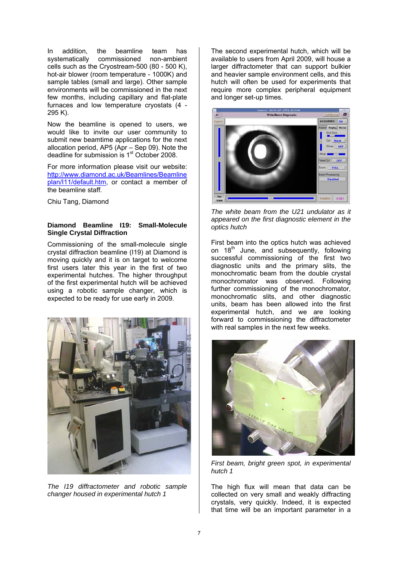In addition, the beamline team has systematically commissioned non-ambient cells such as the Cryostream-500 (80 - 500 K), hot-air blower (room temperature - 1000K) and sample tables (small and large). Other sample environments will be commissioned in the next few months, including capillary and flat-plate furnaces and low temperature cryostats (4 - 295 K).

Now the beamline is opened to users, we would like to invite our user community to submit new beamtime applications for the next allocation period, AP5 (Apr – Sep 09). Note the deadline for submission is 1<sup>st</sup> October 2008.

For more information please visit our website: http://www.diamond.ac.uk/Beamlines/Beamline plan/I11/default.htm, or contact a member of the beamline staff.

Chiu Tang, Diamond

#### **Diamond Beamline I19: Small-Molecule Single Crystal Diffraction**

Commissioning of the small-molecule single crystal diffraction beamline (I19) at Diamond is moving quickly and it is on target to welcome first users later this year in the first of two experimental hutches. The higher throughput of the first experimental hutch will be achieved using a robotic sample changer, which is expected to be ready for use early in 2009.



*The I19 diffractometer and robotic sample changer housed in experimental hutch 1*

The second experimental hutch, which will be available to users from April 2009, will house a larger diffractometer that can support bulkier and heavier sample environment cells, and this hutch will often be used for experiments that require more complex peripheral equipment and longer set-up times.



*The white beam from the U21 undulator as it appeared on the first diagnostic element in the optics hutch*

First beam into the optics hutch was achieved on 18<sup>th</sup> June, and subsequently, following successful commissioning of the first two diagnostic units and the primary slits, the monochromatic beam from the double crystal monochromator was observed. Following further commissioning of the monochromator, monochromatic slits, and other diagnostic units, beam has been allowed into the first experimental hutch, and we are looking forward to commissioning the diffractometer with real samples in the next few weeks.



*First beam, bright green spot, in experimental hutch 1*

The high flux will mean that data can be collected on very small and weakly diffracting crystals, very quickly. Indeed, it is expected that time will be an important parameter in a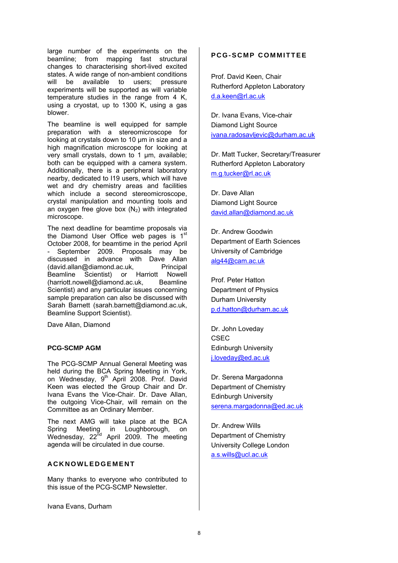large number of the experiments on the beamline; from mapping fast structural changes to characterising short-lived excited states. A wide range of non-ambient conditions will be available to users; pressure experiments will be supported as will variable temperature studies in the range from 4 K, using a cryostat, up to 1300 K, using a gas blower.

The beamline is well equipped for sample preparation with a stereomicroscope for looking at crystals down to 10 μm in size and a high magnification microscope for looking at very small crystals, down to 1 μm, available; both can be equipped with a camera system. Additionally, there is a peripheral laboratory nearby, dedicated to I19 users, which will have wet and dry chemistry areas and facilities which include a second stereomicroscope, crystal manipulation and mounting tools and an oxygen free glove box  $(N_2)$  with integrated microscope.

The next deadline for beamtime proposals via the Diamond User Office web pages is 1st October 2008, for beamtime in the period April - September 2009. Proposals may be discussed in advance with Dave Allan (david.allan@diamond.ac.uk, Principal Beamline Scientist) or Harriott Nowell (harriott.nowell@diamond.ac.uk, Beamline Scientist) and any particular issues concerning sample preparation can also be discussed with Sarah Barnett (sarah.barnett@diamond.ac.uk, Beamline Support Scientist).

Dave Allan, Diamond

#### **PCG-SCMP AGM**

The PCG-SCMP Annual General Meeting was held during the BCA Spring Meeting in York. on Wednesday, 9<sup>th</sup> April 2008. Prof. David Keen was elected the Group Chair and Dr. Ivana Evans the Vice-Chair. Dr. Dave Allan, the outgoing Vice-Chair, will remain on the Committee as an Ordinary Member.

The next AMG will take place at the BCA Spring Meeting in Loughborough, on Wednesday, 22<sup>nd</sup> April 2009. The meeting agenda will be circulated in due course.

### **ACKNOWLEDGEMENT**

Many thanks to everyone who contributed to this issue of the PCG-SCMP Newsletter.

Ivana Evans, Durham

# **PCG-SCMP COMMITTEE**

Prof. David Keen, Chair Rutherford Appleton Laboratory d.a.keen@rl.ac.uk

Dr. Ivana Evans, Vice-chair Diamond Light Source ivana.radosavljevic@durham.ac.uk

Dr. Matt Tucker, Secretary/Treasurer Rutherford Appleton Laboratory m.g.tucker@rl.ac.uk

Dr. Dave Allan Diamond Light Source david.allan@diamond.ac.uk

Dr. Andrew Goodwin Department of Earth Sciences University of Cambridge alg44@cam.ac.uk

Prof. Peter Hatton Department of Physics Durham University p.d.hatton@durham.ac.uk

Dr. John Loveday CSEC Edinburgh University j.loveday@ed.ac.uk

Dr. Serena Margadonna Department of Chemistry Edinburgh University serena.margadonna@ed.ac.uk

Dr. Andrew Wills Department of Chemistry University College London a.s.wills@ucl.ac.uk